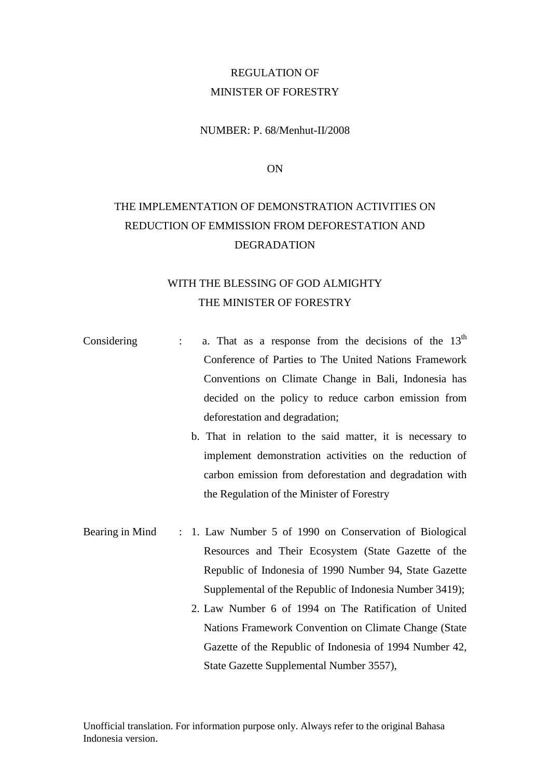# REGULATION OF MINISTER OF FORESTRY

### NUMBER: P. 68/Menhut-II/2008

ON

# THE IMPLEMENTATION OF DEMONSTRATION ACTIVITIES ON REDUCTION OF EMMISSION FROM DEFORESTATION AND DEGRADATION

# WITH THE BLESSING OF GOD ALMIGHTY THE MINISTER OF FORESTRY

- Considering : a. That as a response from the decisions of the  $13<sup>th</sup>$ Conference of Parties to The United Nations Framework Conventions on Climate Change in Bali, Indonesia has decided on the policy to reduce carbon emission from deforestation and degradation;
	- b. That in relation to the said matter, it is necessary to implement demonstration activities on the reduction of carbon emission from deforestation and degradation with the Regulation of the Minister of Forestry
- Bearing in Mind : 1. Law Number 5 of 1990 on Conservation of Biological Resources and Their Ecosystem (State Gazette of the Republic of Indonesia of 1990 Number 94, State Gazette Supplemental of the Republic of Indonesia Number 3419);
	- 2. Law Number 6 of 1994 on The Ratification of United Nations Framework Convention on Climate Change (State Gazette of the Republic of Indonesia of 1994 Number 42, State Gazette Supplemental Number 3557),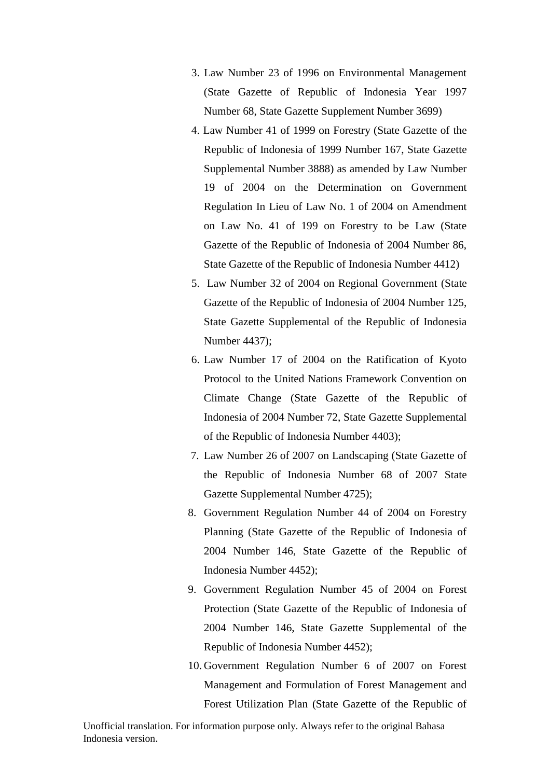- 3. Law Number 23 of 1996 on Environmental Management (State Gazette of Republic of Indonesia Year 1997 Number 68, State Gazette Supplement Number 3699)
- 4. Law Number 41 of 1999 on Forestry (State Gazette of the Republic of Indonesia of 1999 Number 167, State Gazette Supplemental Number 3888) as amended by Law Number 19 of 2004 on the Determination on Government Regulation In Lieu of Law No. 1 of 2004 on Amendment on Law No. 41 of 199 on Forestry to be Law (State Gazette of the Republic of Indonesia of 2004 Number 86, State Gazette of the Republic of Indonesia Number 4412)
- 5. Law Number 32 of 2004 on Regional Government (State Gazette of the Republic of Indonesia of 2004 Number 125, State Gazette Supplemental of the Republic of Indonesia Number 4437);
- 6. Law Number 17 of 2004 on the Ratification of Kyoto Protocol to the United Nations Framework Convention on Climate Change (State Gazette of the Republic of Indonesia of 2004 Number 72, State Gazette Supplemental of the Republic of Indonesia Number 4403);
- 7. Law Number 26 of 2007 on Landscaping (State Gazette of the Republic of Indonesia Number 68 of 2007 State Gazette Supplemental Number 4725);
- 8. Government Regulation Number 44 of 2004 on Forestry Planning (State Gazette of the Republic of Indonesia of 2004 Number 146, State Gazette of the Republic of Indonesia Number 4452);
- 9. Government Regulation Number 45 of 2004 on Forest Protection (State Gazette of the Republic of Indonesia of 2004 Number 146, State Gazette Supplemental of the Republic of Indonesia Number 4452);
- 10. Government Regulation Number 6 of 2007 on Forest Management and Formulation of Forest Management and Forest Utilization Plan (State Gazette of the Republic of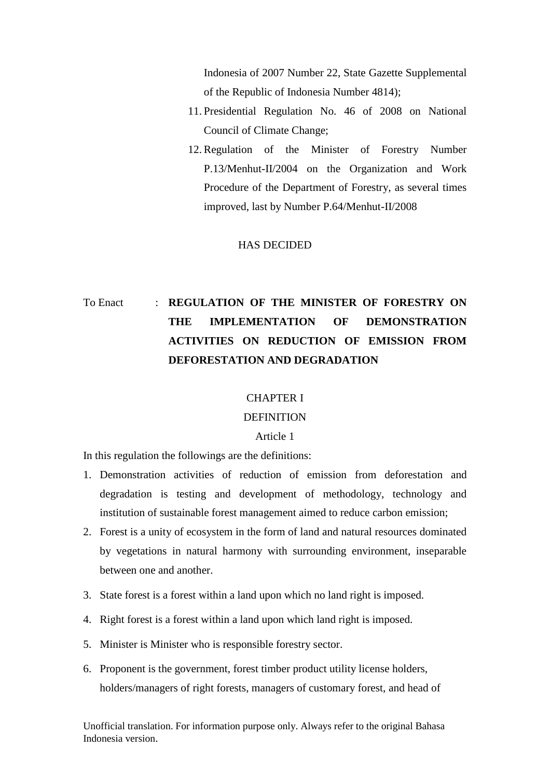Indonesia of 2007 Number 22, State Gazette Supplemental of the Republic of Indonesia Number 4814);

- 11. Presidential Regulation No. 46 of 2008 on National Council of Climate Change;
- 12. Regulation of the Minister of Forestry Number P.13/Menhut-II/2004 on the Organization and Work Procedure of the Department of Forestry, as several times improved, last by Number P.64/Menhut-II/2008

#### HAS DECIDED

# To Enact : **REGULATION OF THE MINISTER OF FORESTRY ON THE IMPLEMENTATION OF DEMONSTRATION ACTIVITIES ON REDUCTION OF EMISSION FROM DEFORESTATION AND DEGRADATION**

#### CHAPTER I

#### DEFINITION

#### Article 1

In this regulation the followings are the definitions:

- 1. Demonstration activities of reduction of emission from deforestation and degradation is testing and development of methodology, technology and institution of sustainable forest management aimed to reduce carbon emission;
- 2. Forest is a unity of ecosystem in the form of land and natural resources dominated by vegetations in natural harmony with surrounding environment, inseparable between one and another.
- 3. State forest is a forest within a land upon which no land right is imposed.
- 4. Right forest is a forest within a land upon which land right is imposed.
- 5. Minister is Minister who is responsible forestry sector.
- 6. Proponent is the government, forest timber product utility license holders, holders/managers of right forests, managers of customary forest, and head of

Unofficial translation. For information purpose only. Always refer to the original Bahasa Indonesia version.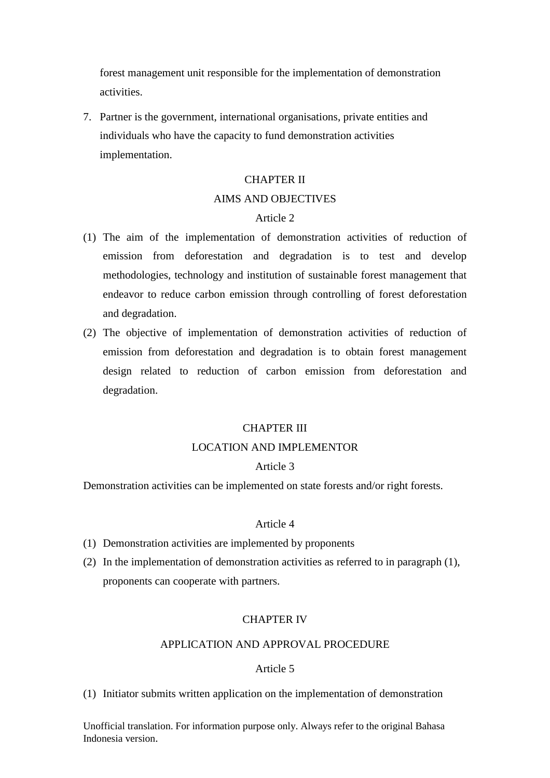forest management unit responsible for the implementation of demonstration activities.

7. Partner is the government, international organisations, private entities and individuals who have the capacity to fund demonstration activities implementation.

# CHAPTER II AIMS AND OBJECTIVES

# Article 2

- (1) The aim of the implementation of demonstration activities of reduction of emission from deforestation and degradation is to test and develop methodologies, technology and institution of sustainable forest management that endeavor to reduce carbon emission through controlling of forest deforestation and degradation.
- (2) The objective of implementation of demonstration activities of reduction of emission from deforestation and degradation is to obtain forest management design related to reduction of carbon emission from deforestation and degradation.

#### CHAPTER III

#### LOCATION AND IMPLEMENTOR

#### Article 3

Demonstration activities can be implemented on state forests and/or right forests.

#### Article 4

- (1) Demonstration activities are implemented by proponents
- (2) In the implementation of demonstration activities as referred to in paragraph (1), proponents can cooperate with partners.

#### CHAPTER IV

# APPLICATION AND APPROVAL PROCEDURE

#### Article 5

(1) Initiator submits written application on the implementation of demonstration

Unofficial translation. For information purpose only. Always refer to the original Bahasa Indonesia version.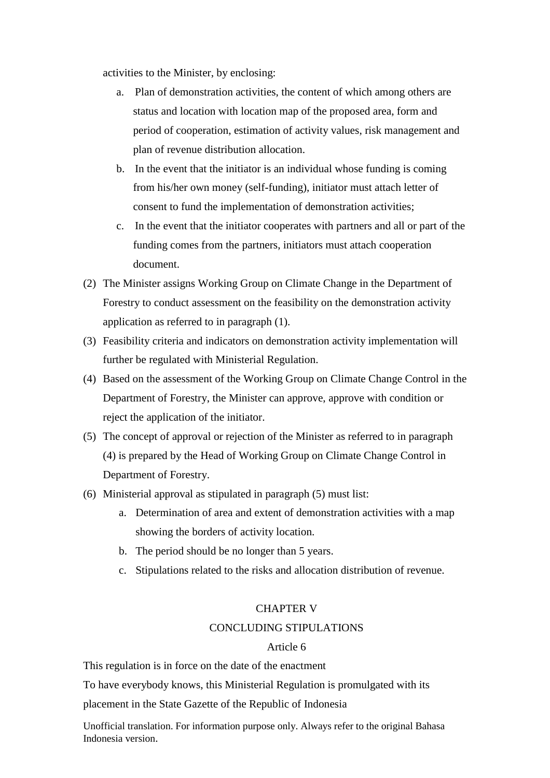activities to the Minister, by enclosing:

- a. Plan of demonstration activities, the content of which among others are status and location with location map of the proposed area, form and period of cooperation, estimation of activity values, risk management and plan of revenue distribution allocation.
- b. In the event that the initiator is an individual whose funding is coming from his/her own money (self-funding), initiator must attach letter of consent to fund the implementation of demonstration activities;
- c. In the event that the initiator cooperates with partners and all or part of the funding comes from the partners, initiators must attach cooperation document.
- (2) The Minister assigns Working Group on Climate Change in the Department of Forestry to conduct assessment on the feasibility on the demonstration activity application as referred to in paragraph (1).
- (3) Feasibility criteria and indicators on demonstration activity implementation will further be regulated with Ministerial Regulation.
- (4) Based on the assessment of the Working Group on Climate Change Control in the Department of Forestry, the Minister can approve, approve with condition or reject the application of the initiator.
- (5) The concept of approval or rejection of the Minister as referred to in paragraph (4) is prepared by the Head of Working Group on Climate Change Control in Department of Forestry.
- (6) Ministerial approval as stipulated in paragraph (5) must list:
	- a. Determination of area and extent of demonstration activities with a map showing the borders of activity location.
	- b. The period should be no longer than 5 years.
	- c. Stipulations related to the risks and allocation distribution of revenue.

## CHAPTER V

## CONCLUDING STIPULATIONS

## Article 6

This regulation is in force on the date of the enactment

To have everybody knows, this Ministerial Regulation is promulgated with its

placement in the State Gazette of the Republic of Indonesia

Unofficial translation. For information purpose only. Always refer to the original Bahasa Indonesia version.